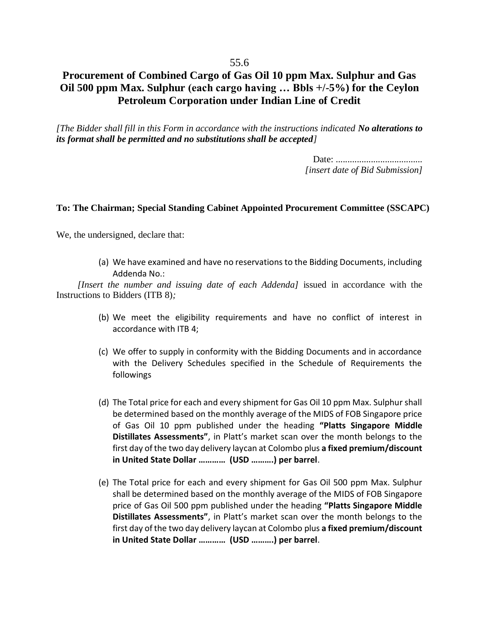## **Procurement of Combined Cargo of Gas Oil 10 ppm Max. Sulphur and Gas Oil 500 ppm Max. Sulphur (each cargo having … Bbls +/-5%) for the Ceylon Petroleum Corporation under Indian Line of Credit**

*[The Bidder shall fill in this Form in accordance with the instructions indicated No alterations to its format shall be permitted and no substitutions shall be accepted]*

> Date: ..................................... *[insert date of Bid Submission]*

## **To: The Chairman; Special Standing Cabinet Appointed Procurement Committee (SSCAPC)**

We, the undersigned, declare that:

(a) We have examined and have no reservations to the Bidding Documents, including Addenda No.:

*[Insert the number and issuing date of each Addenda]* issued in accordance with the Instructions to Bidders (ITB 8)*;*

- (b) We meet the eligibility requirements and have no conflict of interest in accordance with ITB 4;
- (c) We offer to supply in conformity with the Bidding Documents and in accordance with the Delivery Schedules specified in the Schedule of Requirements the followings
- (d) The Total price for each and every shipment for Gas Oil 10 ppm Max. Sulphur shall be determined based on the monthly average of the MIDS of FOB Singapore price of Gas Oil 10 ppm published under the heading **"Platts Singapore Middle Distillates Assessments"**, in Platt's market scan over the month belongs to the first day of the two day delivery laycan at Colombo plus **a fixed premium/discount in United State Dollar ………… (USD ……….) per barrel**.
- (e) The Total price for each and every shipment for Gas Oil 500 ppm Max. Sulphur shall be determined based on the monthly average of the MIDS of FOB Singapore price of Gas Oil 500 ppm published under the heading **"Platts Singapore Middle Distillates Assessments"**, in Platt's market scan over the month belongs to the first day of the two day delivery laycan at Colombo plus **a fixed premium/discount in United State Dollar ………… (USD ……….) per barrel**.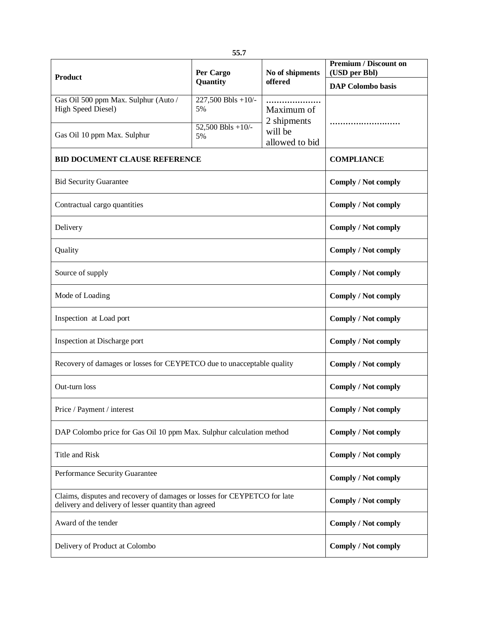| <b>Product</b>                                                                                                                   | Per Cargo<br>Quantity                                 | No of shipments<br>offered                             | <b>Premium / Discount on</b><br>(USD per Bbl) |
|----------------------------------------------------------------------------------------------------------------------------------|-------------------------------------------------------|--------------------------------------------------------|-----------------------------------------------|
|                                                                                                                                  |                                                       |                                                        | <b>DAP</b> Colombo basis                      |
| Gas Oil 500 ppm Max. Sulphur (Auto /<br>High Speed Diesel)<br>Gas Oil 10 ppm Max. Sulphur                                        | 227,500 Bbls +10/-<br>5%<br>$52,500$ Bbls +10/-<br>5% | Maximum of<br>2 shipments<br>will be<br>allowed to bid |                                               |
| <b>BID DOCUMENT CLAUSE REFERENCE</b>                                                                                             |                                                       |                                                        | <b>COMPLIANCE</b>                             |
| <b>Bid Security Guarantee</b>                                                                                                    |                                                       |                                                        | Comply / Not comply                           |
| Contractual cargo quantities                                                                                                     |                                                       |                                                        | <b>Comply / Not comply</b>                    |
| Delivery                                                                                                                         |                                                       |                                                        | Comply / Not comply                           |
| Quality                                                                                                                          |                                                       |                                                        | Comply / Not comply                           |
| Source of supply                                                                                                                 |                                                       |                                                        | Comply / Not comply                           |
| Mode of Loading                                                                                                                  |                                                       |                                                        | <b>Comply / Not comply</b>                    |
| Inspection at Load port                                                                                                          |                                                       |                                                        | <b>Comply / Not comply</b>                    |
| Inspection at Discharge port                                                                                                     |                                                       |                                                        | <b>Comply / Not comply</b>                    |
| Recovery of damages or losses for CEYPETCO due to unacceptable quality                                                           |                                                       |                                                        | Comply / Not comply                           |
| Out-turn loss                                                                                                                    |                                                       |                                                        | Comply / Not comply                           |
| Price / Payment / interest                                                                                                       |                                                       |                                                        | <b>Comply / Not comply</b>                    |
| DAP Colombo price for Gas Oil 10 ppm Max. Sulphur calculation method                                                             |                                                       |                                                        | Comply / Not comply                           |
| Title and Risk                                                                                                                   |                                                       |                                                        | <b>Comply / Not comply</b>                    |
| Performance Security Guarantee                                                                                                   |                                                       |                                                        | <b>Comply / Not comply</b>                    |
| Claims, disputes and recovery of damages or losses for CEYPETCO for late<br>delivery and delivery of lesser quantity than agreed |                                                       |                                                        | <b>Comply / Not comply</b>                    |
| Award of the tender                                                                                                              |                                                       |                                                        | Comply / Not comply                           |
| Delivery of Product at Colombo                                                                                                   |                                                       |                                                        | Comply / Not comply                           |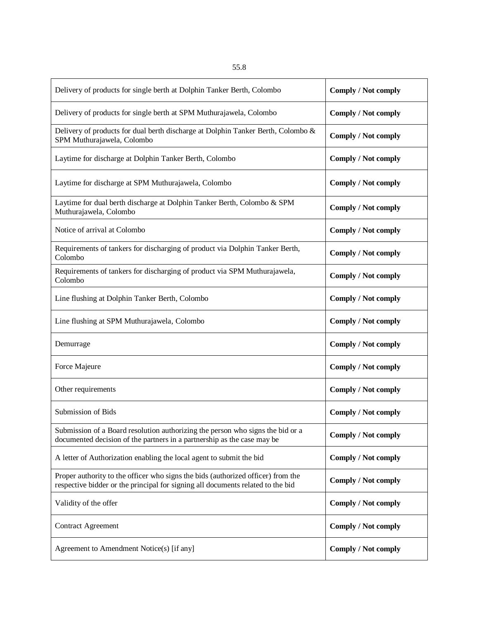| Delivery of products for single berth at Dolphin Tanker Berth, Colombo                                                                                              | <b>Comply / Not comply</b> |
|---------------------------------------------------------------------------------------------------------------------------------------------------------------------|----------------------------|
| Delivery of products for single berth at SPM Muthurajawela, Colombo                                                                                                 | <b>Comply / Not comply</b> |
| Delivery of products for dual berth discharge at Dolphin Tanker Berth, Colombo &<br>SPM Muthurajawela, Colombo                                                      | Comply / Not comply        |
| Laytime for discharge at Dolphin Tanker Berth, Colombo                                                                                                              | <b>Comply / Not comply</b> |
| Laytime for discharge at SPM Muthurajawela, Colombo                                                                                                                 | Comply / Not comply        |
| Laytime for dual berth discharge at Dolphin Tanker Berth, Colombo & SPM<br>Muthurajawela, Colombo                                                                   | <b>Comply / Not comply</b> |
| Notice of arrival at Colombo                                                                                                                                        | <b>Comply / Not comply</b> |
| Requirements of tankers for discharging of product via Dolphin Tanker Berth,<br>Colombo                                                                             | Comply / Not comply        |
| Requirements of tankers for discharging of product via SPM Muthurajawela,<br>Colombo                                                                                | Comply / Not comply        |
| Line flushing at Dolphin Tanker Berth, Colombo                                                                                                                      | <b>Comply / Not comply</b> |
| Line flushing at SPM Muthurajawela, Colombo                                                                                                                         | <b>Comply / Not comply</b> |
| Demurrage                                                                                                                                                           | <b>Comply / Not comply</b> |
| Force Majeure                                                                                                                                                       | <b>Comply / Not comply</b> |
| Other requirements                                                                                                                                                  | <b>Comply / Not comply</b> |
| Submission of Bids                                                                                                                                                  | <b>Comply / Not comply</b> |
| Submission of a Board resolution authorizing the person who signs the bid or a<br>documented decision of the partners in a partnership as the case may be           | Comply / Not comply        |
| A letter of Authorization enabling the local agent to submit the bid                                                                                                | Comply / Not comply        |
| Proper authority to the officer who signs the bids (authorized officer) from the<br>respective bidder or the principal for signing all documents related to the bid | Comply / Not comply        |
| Validity of the offer                                                                                                                                               | Comply / Not comply        |
| <b>Contract Agreement</b>                                                                                                                                           | Comply / Not comply        |
| Agreement to Amendment Notice(s) [if any]                                                                                                                           | Comply / Not comply        |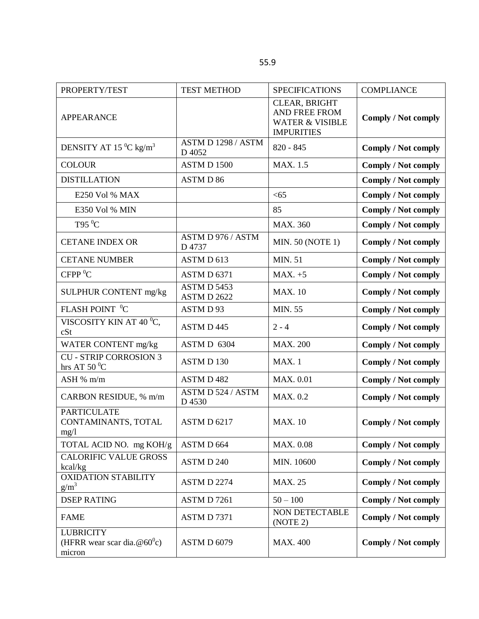| PROPERTY/TEST                                                | <b>TEST METHOD</b>           | <b>SPECIFICATIONS</b>                                                                    | <b>COMPLIANCE</b>          |
|--------------------------------------------------------------|------------------------------|------------------------------------------------------------------------------------------|----------------------------|
| <b>APPEARANCE</b>                                            |                              | CLEAR, BRIGHT<br><b>AND FREE FROM</b><br><b>WATER &amp; VISIBLE</b><br><b>IMPURITIES</b> | <b>Comply / Not comply</b> |
| DENSITY AT 15 $^0C$ kg/m <sup>3</sup>                        | ASTM D 1298 / ASTM<br>D 4052 | $820 - 845$                                                                              | <b>Comply / Not comply</b> |
| <b>COLOUR</b>                                                | ASTM D 1500                  | MAX. 1.5                                                                                 | <b>Comply / Not comply</b> |
| <b>DISTILLATION</b>                                          | ASTM D 86                    |                                                                                          | <b>Comply / Not comply</b> |
| E250 Vol % MAX                                               |                              | <65                                                                                      | <b>Comply / Not comply</b> |
| E350 Vol % MIN                                               |                              | 85                                                                                       | <b>Comply / Not comply</b> |
| T95 $\mathrm{^{0}C}$                                         |                              | <b>MAX. 360</b>                                                                          | <b>Comply / Not comply</b> |
| <b>CETANE INDEX OR</b>                                       | ASTM D 976 / ASTM<br>D 4737  | <b>MIN. 50 (NOTE 1)</b>                                                                  | <b>Comply / Not comply</b> |
| <b>CETANE NUMBER</b>                                         | ASTM D 613                   | <b>MIN. 51</b>                                                                           | <b>Comply / Not comply</b> |
| CFPP <sup>0</sup> C                                          | ASTM D 6371                  | $MAX. +5$                                                                                | <b>Comply / Not comply</b> |
| SULPHUR CONTENT mg/kg                                        | ASTM D 5453<br>ASTM D 2622   | <b>MAX.</b> 10                                                                           | <b>Comply / Not comply</b> |
| FLASH POINT <sup>0</sup> C                                   | ASTM D93                     | <b>MIN. 55</b>                                                                           | <b>Comply / Not comply</b> |
| VISCOSITY KIN AT 40 °C,<br>cSt                               | ASTM D445                    | $2 - 4$                                                                                  | <b>Comply / Not comply</b> |
| WATER CONTENT mg/kg                                          | ASTM D 6304                  | <b>MAX. 200</b>                                                                          | <b>Comply / Not comply</b> |
| <b>CU - STRIP CORROSION 3</b><br>hrs AT 50 $^0C$             | ASTM D 130                   | MAX. 1                                                                                   | <b>Comply / Not comply</b> |
| ASH % m/m                                                    | ASTM D 482                   | <b>MAX. 0.01</b>                                                                         | Comply / Not comply        |
| CARBON RESIDUE, % m/m                                        | ASTM D 524 / ASTM<br>D 4530  | MAX. 0.2                                                                                 | <b>Comply / Not comply</b> |
| <b>PARTICULATE</b><br>CONTAMINANTS, TOTAL<br>mg/1            | ASTM D 6217                  | <b>MAX.</b> 10                                                                           | <b>Comply / Not comply</b> |
| TOTAL ACID NO. mg KOH/g                                      | ASTM D 664                   | MAX. 0.08                                                                                | <b>Comply / Not comply</b> |
| <b>CALORIFIC VALUE GROSS</b><br>kcal/kg                      | ASTM D 240                   | MIN. 10600                                                                               | Comply / Not comply        |
| <b>OXIDATION STABILITY</b><br>$g/m^3$                        | ASTM D 2274                  | <b>MAX. 25</b>                                                                           | <b>Comply / Not comply</b> |
| <b>DSEP RATING</b>                                           | ASTM D7261                   | $50 - 100$                                                                               | Comply / Not comply        |
| <b>FAME</b>                                                  | ASTM D7371                   | NON DETECTABLE<br>(NOTE 2)                                                               | <b>Comply / Not comply</b> |
| <b>LUBRICITY</b><br>(HFRR wear scar dia. $@60°c$ )<br>micron | ASTM D 6079                  | <b>MAX. 400</b>                                                                          | <b>Comply / Not comply</b> |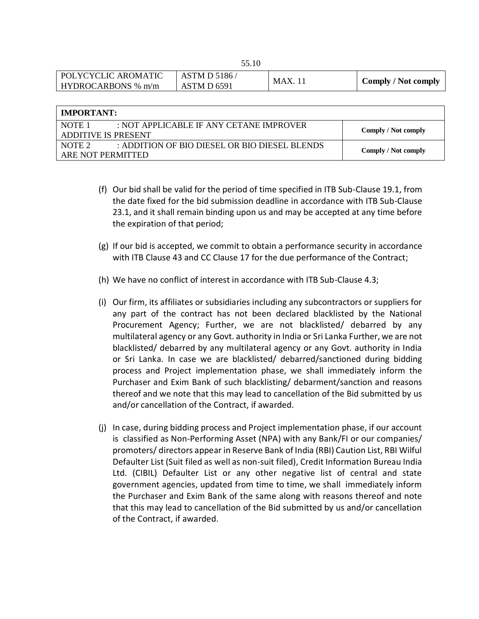| POLYCYCLIC AROMATIC | ASTM D 5186/ | MAX.1 | <b>Comply / Not comply</b> |
|---------------------|--------------|-------|----------------------------|
| HYDROCARBONS % m/m  | ASTM D 6591  |       |                            |

| IMPORTANT:                                                         |                     |  |  |  |
|--------------------------------------------------------------------|---------------------|--|--|--|
| NOTE <sub>1</sub><br>$\pm$ NOT APPLICABLE IF ANY CETANE IMPROVER   |                     |  |  |  |
| <b>ADDITIVE IS PRESENT</b>                                         | Comply / Not comply |  |  |  |
| : ADDITION OF BIO DIESEL OR BIO DIESEL BLENDS<br>NOTE <sub>2</sub> |                     |  |  |  |
| ARE NOT PERMITTED                                                  | Comply / Not comply |  |  |  |

- (f) Our bid shall be valid for the period of time specified in ITB Sub-Clause 19.1, from the date fixed for the bid submission deadline in accordance with ITB Sub-Clause 23.1, and it shall remain binding upon us and may be accepted at any time before the expiration of that period;
- (g) If our bid is accepted, we commit to obtain a performance security in accordance with ITB Clause 43 and CC Clause 17 for the due performance of the Contract;
- (h) We have no conflict of interest in accordance with ITB Sub-Clause 4.3;
- (i) Our firm, its affiliates or subsidiaries including any subcontractors or suppliers for any part of the contract has not been declared blacklisted by the National Procurement Agency; Further, we are not blacklisted/ debarred by any multilateral agency or any Govt. authority in India or Sri Lanka Further, we are not blacklisted/ debarred by any multilateral agency or any Govt. authority in India or Sri Lanka. In case we are blacklisted/ debarred/sanctioned during bidding process and Project implementation phase, we shall immediately inform the Purchaser and Exim Bank of such blacklisting/ debarment/sanction and reasons thereof and we note that this may lead to cancellation of the Bid submitted by us and/or cancellation of the Contract, if awarded.
- (j) In case, during bidding process and Project implementation phase, if our account is classified as Non-Performing Asset (NPA) with any Bank/FI or our companies/ promoters/ directors appear in Reserve Bank of India (RBI) Caution List, RBI Wilful Defaulter List (Suit filed as well as non-suit filed), Credit Information Bureau India Ltd. (CIBIL) Defaulter List or any other negative list of central and state government agencies, updated from time to time, we shall immediately inform the Purchaser and Exim Bank of the same along with reasons thereof and note that this may lead to cancellation of the Bid submitted by us and/or cancellation of the Contract, if awarded.